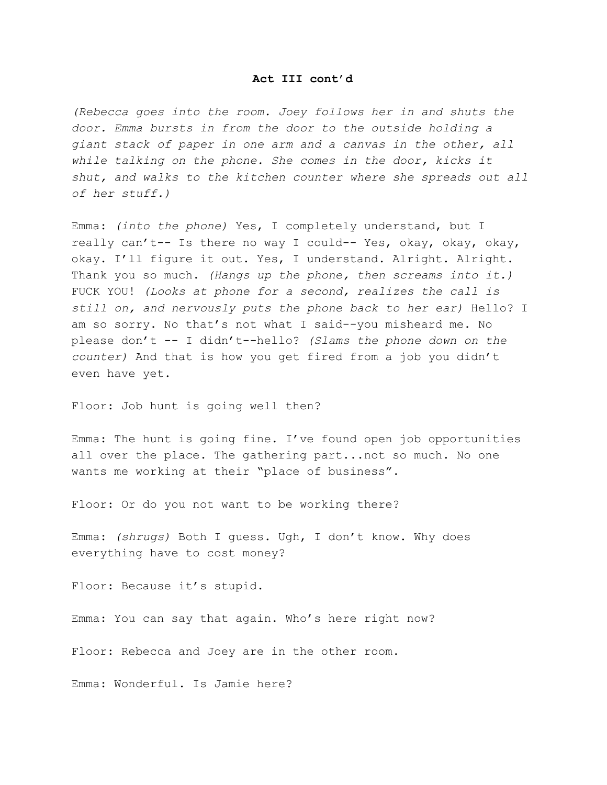## **Act III cont'd**

*(Rebecca goes into the room. Joey follows her in and shuts the door. Emma bursts in from the door to the outside holding a giant stack of paper in one arm and a canvas in the other, all while talking on the phone. She comes in the door, kicks it shut, and walks to the kitchen counter where she spreads out all of her stuff.)*

Emma: *(into the phone)* Yes, I completely understand, but I really can't-- Is there no way I could-- Yes, okay, okay, okay, okay. I'll figure it out. Yes, I understand. Alright. Alright. Thank you so much. *(Hangs up the phone, then screams into it.)* FUCK YOU! *(Looks at phone for a second, realizes the call is still on, and nervously puts the phone back to her ear)* Hello? I am so sorry. No that's not what I said--you misheard me. No please don't -- I didn't--hello? *(Slams the phone down on the counter)* And that is how you get fired from a job you didn't even have yet.

Floor: Job hunt is going well then?

Emma: The hunt is going fine. I've found open job opportunities all over the place. The gathering part...not so much. No one wants me working at their "place of business".

Floor: Or do you not want to be working there?

Emma: *(shrugs)* Both I guess. Ugh, I don't know. Why does everything have to cost money?

Floor: Because it's stupid.

Emma: You can say that again. Who's here right now?

Floor: Rebecca and Joey are in the other room.

Emma: Wonderful. Is Jamie here?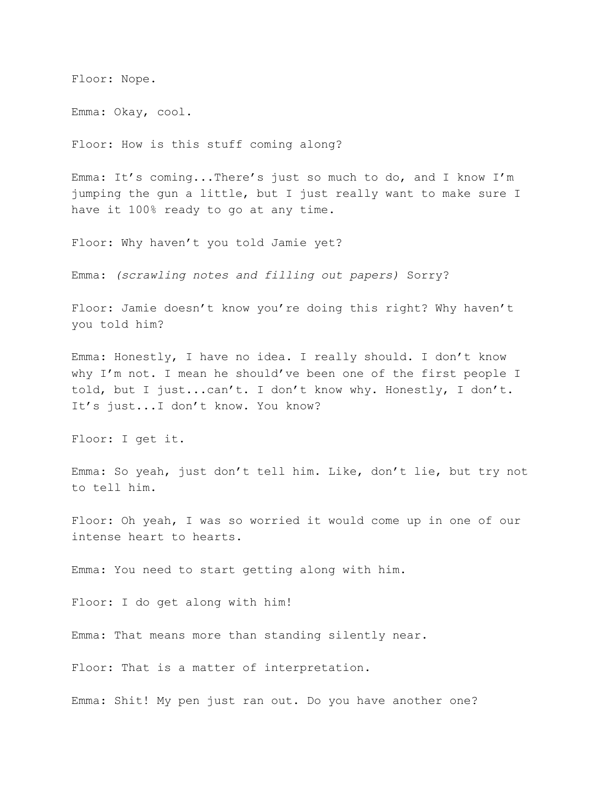Floor: Nope.

Emma: Okay, cool.

Floor: How is this stuff coming along?

Emma: It's coming...There's just so much to do, and I know I'm jumping the gun a little, but I just really want to make sure I have it 100% ready to go at any time.

Floor: Why haven't you told Jamie yet?

Emma: *(scrawling notes and filling out papers)* Sorry?

Floor: Jamie doesn't know you're doing this right? Why haven't you told him?

Emma: Honestly, I have no idea. I really should. I don't know why I'm not. I mean he should've been one of the first people I told, but I just...can't. I don't know why. Honestly, I don't. It's just...I don't know. You know?

Floor: I get it.

Emma: So yeah, just don't tell him. Like, don't lie, but try not to tell him.

Floor: Oh yeah, I was so worried it would come up in one of our intense heart to hearts.

Emma: You need to start getting along with him.

Floor: I do get along with him!

Emma: That means more than standing silently near.

Floor: That is a matter of interpretation.

Emma: Shit! My pen just ran out. Do you have another one?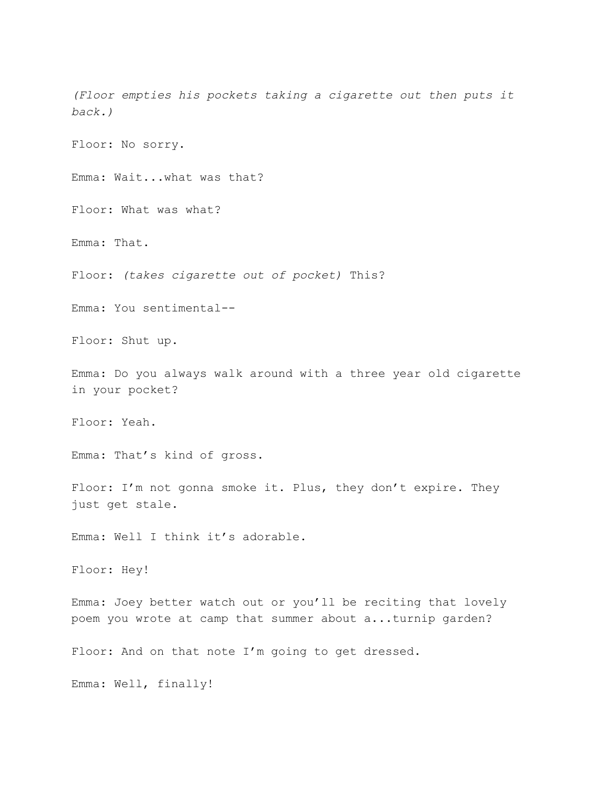*(Floor empties his pockets taking a cigarette out then puts it back.)*

Floor: No sorry.

Emma: Wait...what was that?

Floor: What was what?

Emma: That.

Floor: *(takes cigarette out of pocket)* This?

Emma: You sentimental--

Floor: Shut up.

Emma: Do you always walk around with a three year old cigarette in your pocket?

Floor: Yeah.

Emma: That's kind of gross.

Floor: I'm not gonna smoke it. Plus, they don't expire. They just get stale.

Emma: Well I think it's adorable.

Floor: Hey!

Emma: Joey better watch out or you'll be reciting that lovely poem you wrote at camp that summer about a...turnip garden?

Floor: And on that note I'm going to get dressed.

Emma: Well, finally!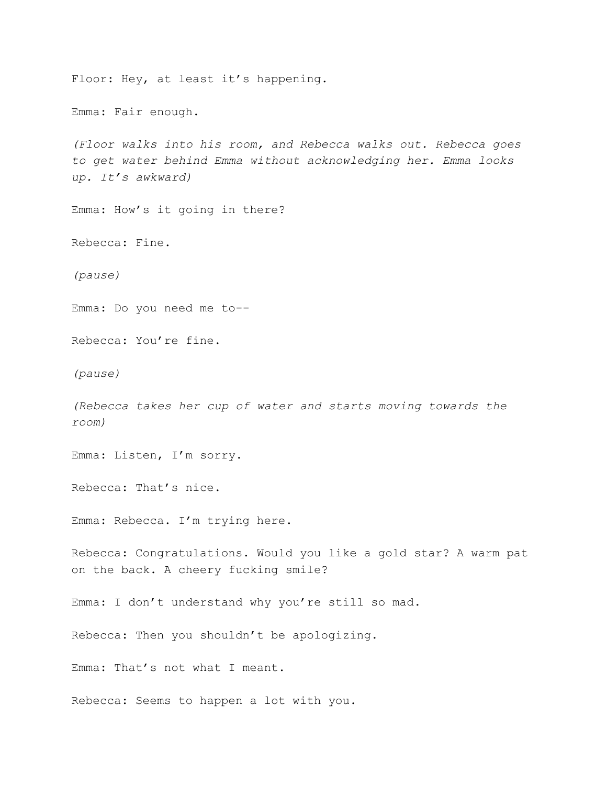Floor: Hey, at least it's happening. Emma: Fair enough. *(Floor walks into his room, and Rebecca walks out. Rebecca goes to get water behind Emma without acknowledging her. Emma looks up. It's awkward)* Emma: How's it going in there? Rebecca: Fine. *(pause)* Emma: Do you need me to-- Rebecca: You're fine. *(pause) (Rebecca takes her cup of water and starts moving towards the room)* Emma: Listen, I'm sorry. Rebecca: That's nice. Emma: Rebecca. I'm trying here. Rebecca: Congratulations. Would you like a gold star? A warm pat on the back. A cheery fucking smile? Emma: I don't understand why you're still so mad. Rebecca: Then you shouldn't be apologizing. Emma: That's not what I meant. Rebecca: Seems to happen a lot with you.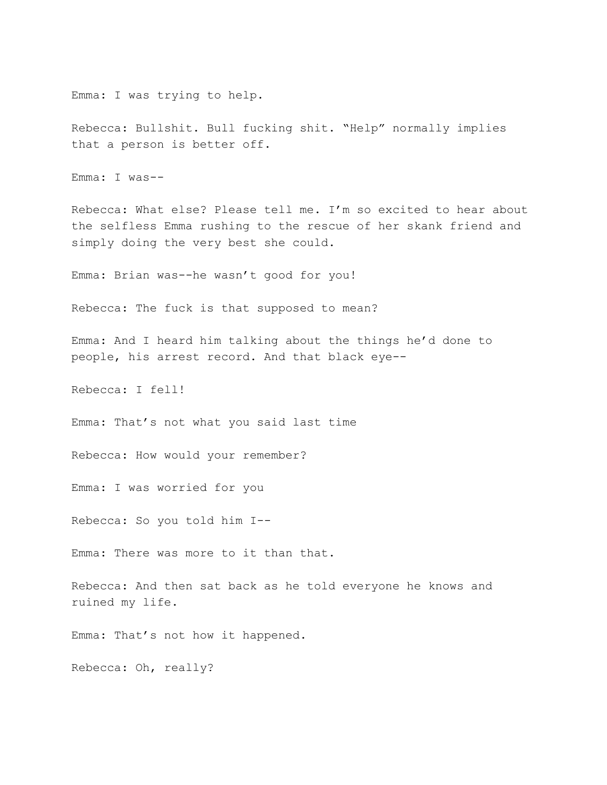Emma: I was trying to help.

Rebecca: Bullshit. Bull fucking shit. "Help" normally implies that a person is better off.

Emma: I was--

Rebecca: What else? Please tell me. I'm so excited to hear about the selfless Emma rushing to the rescue of her skank friend and simply doing the very best she could.

Emma: Brian was--he wasn't good for you!

Rebecca: The fuck is that supposed to mean?

Emma: And I heard him talking about the things he'd done to people, his arrest record. And that black eye--

Rebecca: I fell!

Emma: That's not what you said last time

Rebecca: How would your remember?

Emma: I was worried for you

Rebecca: So you told him I--

Emma: There was more to it than that.

Rebecca: And then sat back as he told everyone he knows and ruined my life.

Emma: That's not how it happened.

Rebecca: Oh, really?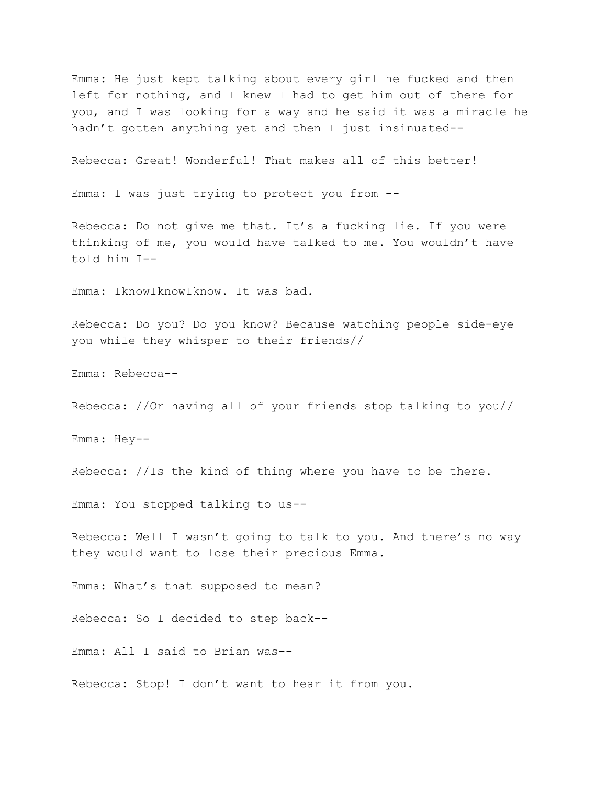Emma: He just kept talking about every girl he fucked and then left for nothing, and I knew I had to get him out of there for you, and I was looking for a way and he said it was a miracle he hadn't gotten anything yet and then I just insinuated--

Rebecca: Great! Wonderful! That makes all of this better!

Emma: I was just trying to protect you from --

Rebecca: Do not give me that. It's a fucking lie. If you were thinking of me, you would have talked to me. You wouldn't have told him I--

Emma: IknowIknowIknow. It was bad.

Rebecca: Do you? Do you know? Because watching people side-eye you while they whisper to their friends//

Emma: Rebecca--

Rebecca: //Or having all of your friends stop talking to you//

Emma: Hey--

Rebecca: //Is the kind of thing where you have to be there.

Emma: You stopped talking to us--

Rebecca: Well I wasn't going to talk to you. And there's no way they would want to lose their precious Emma.

Emma: What's that supposed to mean?

Rebecca: So I decided to step back--

Emma: All I said to Brian was--

Rebecca: Stop! I don't want to hear it from you.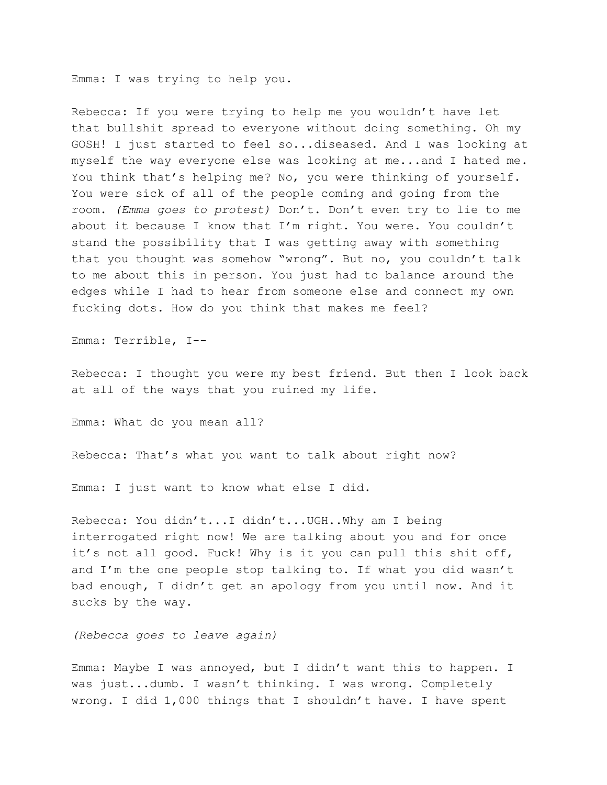Emma: I was trying to help you.

Rebecca: If you were trying to help me you wouldn't have let that bullshit spread to everyone without doing something. Oh my GOSH! I just started to feel so...diseased. And I was looking at myself the way everyone else was looking at me...and I hated me. You think that's helping me? No, you were thinking of yourself. You were sick of all of the people coming and going from the room. *(Emma goes to protest)* Don't. Don't even try to lie to me about it because I know that I'm right. You were. You couldn't stand the possibility that I was getting away with something that you thought was somehow "wrong". But no, you couldn't talk to me about this in person. You just had to balance around the edges while I had to hear from someone else and connect my own fucking dots. How do you think that makes me feel?

Emma: Terrible, I--

Rebecca: I thought you were my best friend. But then I look back at all of the ways that you ruined my life.

Emma: What do you mean all?

Rebecca: That's what you want to talk about right now?

Emma: I just want to know what else I did.

Rebecca: You didn't...I didn't...UGH..Why am I being interrogated right now! We are talking about you and for once it's not all good. Fuck! Why is it you can pull this shit off, and I'm the one people stop talking to. If what you did wasn't bad enough, I didn't get an apology from you until now. And it sucks by the way.

*(Rebecca goes to leave again)*

Emma: Maybe I was annoyed, but I didn't want this to happen. I was just...dumb. I wasn't thinking. I was wrong. Completely wrong. I did 1,000 things that I shouldn't have. I have spent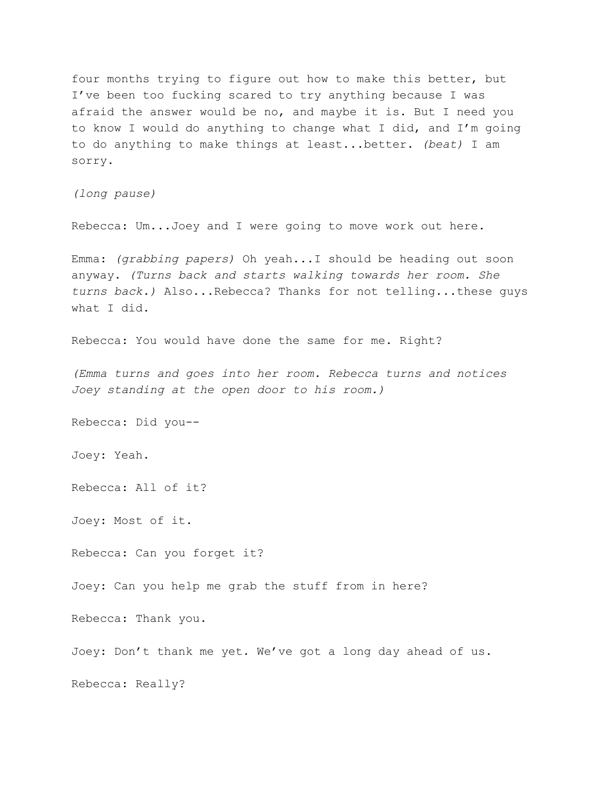four months trying to figure out how to make this better, but I've been too fucking scared to try anything because I was afraid the answer would be no, and maybe it is. But I need you to know I would do anything to change what I did, and I'm going to do anything to make things at least...better. *(beat)* I am sorry.

*(long pause)*

Rebecca: Um...Joey and I were going to move work out here.

Emma: *(grabbing papers)* Oh yeah...I should be heading out soon anyway. *(Turns back and starts walking towards her room. She turns back.)* Also...Rebecca? Thanks for not telling...these guys what I did.

Rebecca: You would have done the same for me. Right?

*(Emma turns and goes into her room. Rebecca turns and notices Joey standing at the open door to his room.)*

Rebecca: Did you--

Joey: Yeah.

Rebecca: All of it?

Joey: Most of it.

Rebecca: Can you forget it?

Joey: Can you help me grab the stuff from in here?

Rebecca: Thank you.

Joey: Don't thank me yet. We've got a long day ahead of us.

Rebecca: Really?